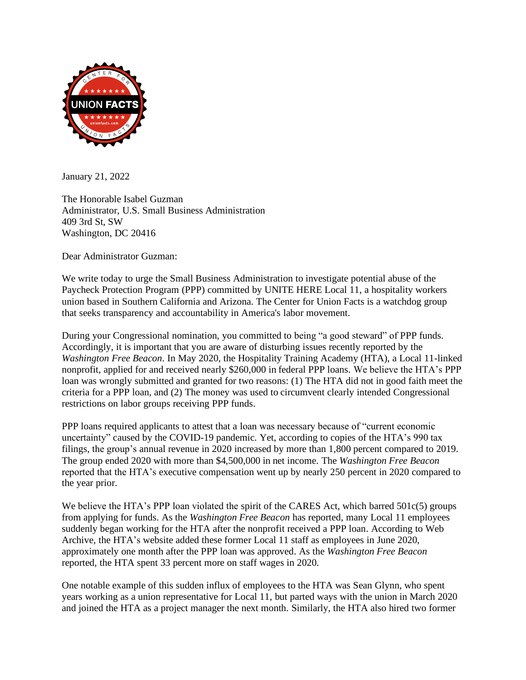

January 21, 2022

The Honorable Isabel Guzman Administrator, U.S. Small Business Administration 409 3rd St, SW Washington, DC 20416

Dear Administrator Guzman:

We write today to urge the Small Business Administration to investigate potential abuse of the Paycheck Protection Program (PPP) committed by UNITE HERE Local 11, a hospitality workers union based in Southern California and Arizona. The Center for Union Facts is a watchdog group that seeks transparency and accountability in America's labor movement.

During your Congressional nomination, you committed to being "a good steward" of PPP funds. Accordingly, it is important that you are aware of disturbing issues recently reported by the *Washington Free Beacon*. In May 2020, the Hospitality Training Academy (HTA), a Local 11-linked nonprofit, applied for and received nearly \$260,000 in federal PPP loans. We believe the HTA's PPP loan was wrongly submitted and granted for two reasons: (1) The HTA did not in good faith meet the criteria for a PPP loan, and (2) The money was used to circumvent clearly intended Congressional restrictions on labor groups receiving PPP funds.

PPP loans required applicants to attest that a loan was necessary because of "current economic uncertainty" caused by the COVID-19 pandemic. Yet, according to copies of the HTA's 990 tax filings, the group's annual revenue in 2020 increased by more than 1,800 percent compared to 2019. The group ended 2020 with more than \$4,500,000 in net income. The *Washington Free Beacon* reported that the HTA's executive compensation went up by nearly 250 percent in 2020 compared to the year prior.

We believe the HTA's PPP loan violated the spirit of the CARES Act, which barred 501c(5) groups from applying for funds. As the *Washington Free Beacon* has reported, many Local 11 employees suddenly began working for the HTA after the nonprofit received a PPP loan. According to Web Archive, the HTA's website added these former Local 11 staff as employees in June 2020, approximately one month after the PPP loan was approved. As the *Washington Free Beacon*  reported, the HTA spent 33 percent more on staff wages in 2020.

One notable example of this sudden influx of employees to the HTA was Sean Glynn, who spent years working as a union representative for Local 11, but parted ways with the union in March 2020 and joined the HTA as a project manager the next month. Similarly, the HTA also hired two former